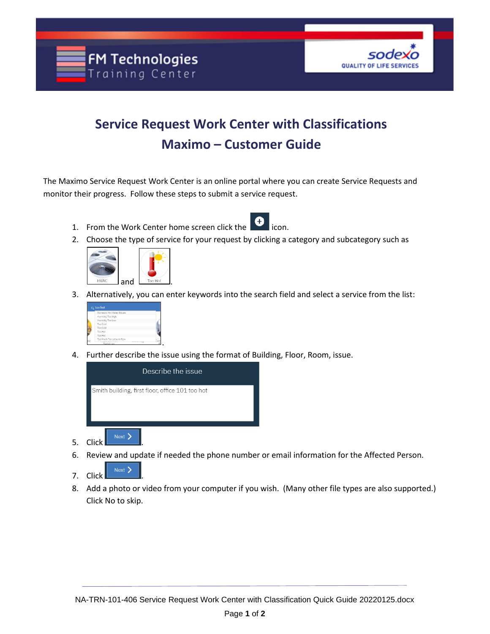



## **Service Request Work Center with Classifications Maximo – Customer Guide**

The Maximo Service Request Work Center is an online portal where you can create Service Requests and monitor their progress. Follow these steps to submit a service request.

- 1. From the Work Center home screen click the
- 2. Choose the type of service for your request by clicking a category and subcategory such as



3. Alternatively, you can enter keywords into the search field and select a service from the list:



4. Further describe the issue using the format of Building, Floor, Room, issue.



- 6. Review and update if needed the phone number or email information for the Affected Person.
- 7. Click  $\left| \begin{array}{c} \text{Next} \end{array} \right|$
- 8. Add a photo or video from your computer if you wish. (Many other file types are also supported.) Click No to skip.